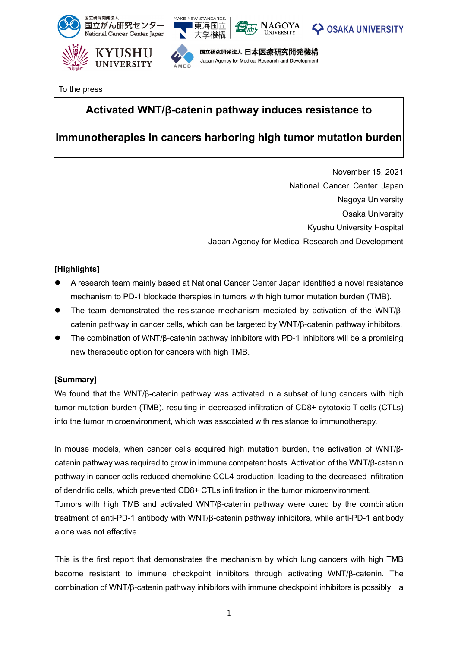

To the press

# **Activated WNT/β-catenin pathway induces resistance to**

# **immunotherapies in cancers harboring high tumor mutation burden**

November 15, 2021 National Cancer Center Japan Nagoya University Osaka University Kyushu University Hospital Japan Agency for Medical Research and Development

### **[Highlights]**

- A research team mainly based at National Cancer Center Japan identified a novel resistance mechanism to PD-1 blockade therapies in tumors with high tumor mutation burden (TMB).
- The team demonstrated the resistance mechanism mediated by activation of the WNT/βcatenin pathway in cancer cells, which can be targeted by WNT/β-catenin pathway inhibitors.
- The combination of WNT/β-catenin pathway inhibitors with PD-1 inhibitors will be a promising new therapeutic option for cancers with high TMB.

### **[Summary]**

We found that the WNT/β-catenin pathway was activated in a subset of lung cancers with high tumor mutation burden (TMB), resulting in decreased infiltration of CD8+ cytotoxic T cells (CTLs) into the tumor microenvironment, which was associated with resistance to immunotherapy.

In mouse models, when cancer cells acquired high mutation burden, the activation of WNT/βcatenin pathway was required to grow in immune competent hosts. Activation of the WNT/β-catenin pathway in cancer cells reduced chemokine CCL4 production, leading to the decreased infiltration of dendritic cells, which prevented CD8+ CTLs infiltration in the tumor microenvironment. Tumors with high TMB and activated WNT/β-catenin pathway were cured by the combination treatment of anti-PD-1 antibody with WNT/β-catenin pathway inhibitors, while anti-PD-1 antibody alone was not effective.

This is the first report that demonstrates the mechanism by which lung cancers with high TMB become resistant to immune checkpoint inhibitors through activating WNT/β-catenin. The combination of WNT/β-catenin pathway inhibitors with immune checkpoint inhibitors is possibly a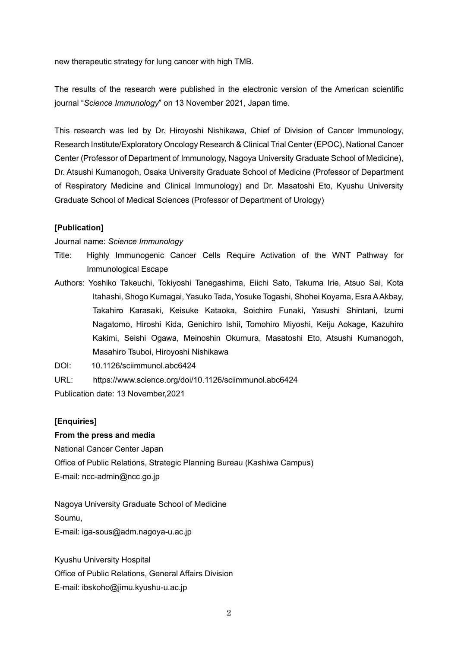new therapeutic strategy for lung cancer with high TMB.

The results of the research were published in the electronic version of the American scientific journal "*Science Immunology*" on 13 November 2021, Japan time.

This research was led by Dr. Hiroyoshi Nishikawa, Chief of Division of Cancer Immunology, Research Institute/Exploratory Oncology Research & Clinical Trial Center (EPOC), National Cancer Center (Professor of Department of Immunology, Nagoya University Graduate School of Medicine), Dr. Atsushi Kumanogoh, Osaka University Graduate School of Medicine (Professor of Department of Respiratory Medicine and Clinical Immunology) and Dr. Masatoshi Eto, Kyushu University Graduate School of Medical Sciences (Professor of Department of Urology)

#### **[Publication]**

Journal name: *Science Immunology*

- Title: Highly Immunogenic Cancer Cells Require Activation of the WNT Pathway for Immunological Escape
- Authors: Yoshiko Takeuchi, Tokiyoshi Tanegashima, Eiichi Sato, Takuma Irie, Atsuo Sai, Kota Itahashi, Shogo Kumagai, Yasuko Tada, Yosuke Togashi, Shohei Koyama, Esra A Akbay, Takahiro Karasaki, Keisuke Kataoka, Soichiro Funaki, Yasushi Shintani, Izumi Nagatomo, Hiroshi Kida, Genichiro Ishii, Tomohiro Miyoshi, Keiju Aokage, Kazuhiro Kakimi, Seishi Ogawa, Meinoshin Okumura, Masatoshi Eto, Atsushi Kumanogoh, Masahiro Tsuboi, Hiroyoshi Nishikawa

DOI: 10.1126/sciimmunol.abc6424

URL: https://www.science.org/doi/10.1126/sciimmunol.abc6424

Publication date: 13 November,2021

#### **[Enquiries]**

#### **From the press and media**

National Cancer Center Japan Office of Public Relations, Strategic Planning Bureau (Kashiwa Campus) E-ma[il: ncc-admin@ncc.go.jp](mailto:ncc-admin@ncc.go.jp)

Nagoya University Graduate School of Medicine Soumu,

E-mail: iga-sous@adm.nagoya-u.ac.jp

Kyushu University Hospital Office of Public Relations, General Affairs Division E-mail: ibskoho@jimu.kyushu-u.ac.jp